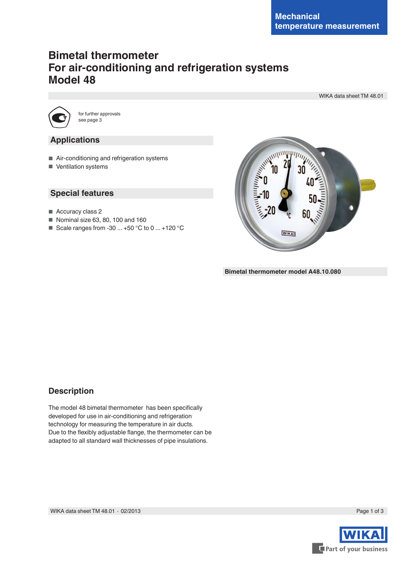# **Bimetal thermometer For air-conditioning and refrigeration systems Model 48**

WIKA data sheet TM 48.01



for further approvals see page 3

### **Applications**

- Air-conditioning and refrigeration systems
- Ventilation systems

#### **Special features**

- Accuracy class 2
- Nominal size 63, 80, 100 and 160
- Scale ranges from -30 ... +50  $°C$  to 0 ... +120  $°C$



**Bimetal thermometer model A48.10.080**

## **Description**

The model 48 bimetal thermometer has been specifically developed for use in air-conditioning and refrigeration technology for measuring the temperature in air ducts. Due to the flexibly adjustable flange, the thermometer can be adapted to all standard wall thicknesses of pipe insulations.

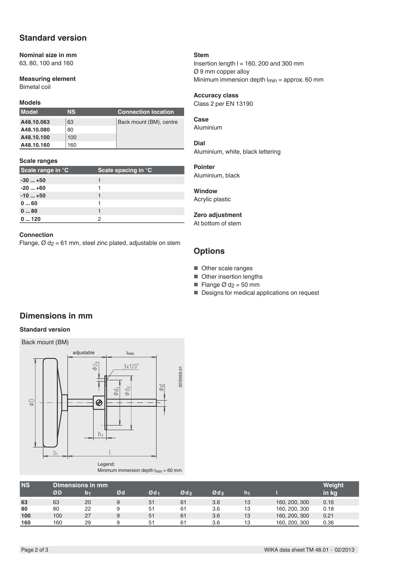## **Standard version**

**Nominal size in mm** 63, 80, 100 and 160

#### **Measuring element**

Bimetal coil

#### **Models**

| <b>Model</b> | <b>NS</b> | <b>Connection location</b> |
|--------------|-----------|----------------------------|
| A48.10.063   | 63        | Back mount (BM), centre    |
| A48.10.080   | 80        |                            |
| A48.10.100   | 100       |                            |
| A48.10.160   | 160       |                            |

#### **Scale ranges**

| Scale range in °C | Scale spacing in °C |
|-------------------|---------------------|
| $-30+50$          |                     |
| $-20+60$          |                     |
| $-10+50$          |                     |
| 060               |                     |
| 080               |                     |
| 0120              |                     |

#### **Connection**

Flange,  $\varnothing$  d<sub>2</sub> = 61 mm, steel zinc plated, adjustable on stem

#### **Stem**

Insertion length  $I = 160$ , 200 and 300 mm Ø 9 mm copper alloy Minimum immersion depth  $I_{\text{min}} =$  approx. 60 mm

## **Accuracy class**

Class 2 per EN 13190

#### **Case** Aluminium

**Dial**

Aluminium, white, black lettering

#### **Pointer**

Aluminium, black

**Window** Acrylic plastic

**Zero adjustment** At bottom of stem

## **Options**

■ Other scale ranges

- Other insertion lengths
- Flange Ø d<sub>2</sub> = 50 mm
- Designs for medical applications on request

## **Dimensions in mm**

#### **Standard version**



| <b>NS</b> | Dimensions in mm |    | Weight |      |     |                 |    |               |       |
|-----------|------------------|----|--------|------|-----|-----------------|----|---------------|-------|
|           | ØD               |    | Ød     | Ød 1 | Ød2 | Ød <sub>3</sub> | π  |               | in ka |
| 63        | 63               | 20 | 9      | 51   | 61  | 3.6             | 13 | 160, 200, 300 | 0.16  |
| 80        | 80               | 22 | 9      | 51   | 61  | 3.6             | 13 | 160, 200, 300 | 0.18  |
| 100       | 100              | 27 | 9      | 51   | 61  | 3.6             | 13 | 160, 200, 300 | 0.21  |
| 160       | 160              | 29 | a      | 51   | 61  | 3.6             | 13 | 160, 200, 300 | 0.36  |